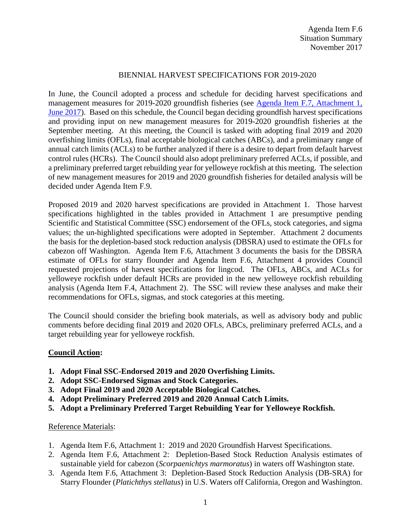## BIENNIAL HARVEST SPECIFICATIONS FOR 2019-2020

In June, the Council adopted a process and schedule for deciding harvest specifications and management measures for 2019-2020 groundfish fisheries (see Agenda Item F.7, Attachment 1, [June 2017\)](https://www.pcouncil.org/wp-content/uploads/2017/05/F7_Att1_Spex_Schedule_Jun2017BB.pdf). Based on this schedule, the Council began deciding groundfish harvest specifications and providing input on new management measures for 2019-2020 groundfish fisheries at the September meeting. At this meeting, the Council is tasked with adopting final 2019 and 2020 overfishing limits (OFLs), final acceptable biological catches (ABCs), and a preliminary range of annual catch limits (ACLs) to be further analyzed if there is a desire to depart from default harvest control rules (HCRs). The Council should also adopt preliminary preferred ACLs, if possible, and a preliminary preferred target rebuilding year for yelloweye rockfish at this meeting. The selection of new management measures for 2019 and 2020 groundfish fisheries for detailed analysis will be decided under Agenda Item F.9.

Proposed 2019 and 2020 harvest specifications are provided in Attachment 1. Those harvest specifications highlighted in the tables provided in Attachment 1 are presumptive pending Scientific and Statistical Committee (SSC) endorsement of the OFLs, stock categories, and sigma values; the un-highlighted specifications were adopted in September. Attachment 2 documents the basis for the depletion-based stock reduction analysis (DBSRA) used to estimate the OFLs for cabezon off Washington. Agenda Item F.6, Attachment 3 documents the basis for the DBSRA estimate of OFLs for starry flounder and Agenda Item F.6, Attachment 4 provides Council requested projections of harvest specifications for lingcod. The OFLs, ABCs, and ACLs for yelloweye rockfish under default HCRs are provided in the new yelloweye rockfish rebuilding analysis (Agenda Item F.4, Attachment 2). The SSC will review these analyses and make their recommendations for OFLs, sigmas, and stock categories at this meeting.

The Council should consider the briefing book materials, as well as advisory body and public comments before deciding final 2019 and 2020 OFLs, ABCs, preliminary preferred ACLs, and a target rebuilding year for yelloweye rockfish.

## **Council Action:**

- **1. Adopt Final SSC-Endorsed 2019 and 2020 Overfishing Limits.**
- **2. Adopt SSC-Endorsed Sigmas and Stock Categories.**
- **3. Adopt Final 2019 and 2020 Acceptable Biological Catches.**
- **4. Adopt Preliminary Preferred 2019 and 2020 Annual Catch Limits.**
- **5. Adopt a Preliminary Preferred Target Rebuilding Year for Yelloweye Rockfish.**

## Reference Materials:

- 1. Agenda Item F.6, Attachment 1: 2019 and 2020 Groundfish Harvest Specifications.
- 2. Agenda Item F.6, Attachment 2: Depletion-Based Stock Reduction Analysis estimates of sustainable yield for cabezon (*Scorpaenichtys marmoratus*) in waters off Washington state.
- 3. Agenda Item F.6, Attachment 3: Depletion-Based Stock Reduction Analysis (DB-SRA) for Starry Flounder (*Platichthys stellatus*) in U.S. Waters off California, Oregon and Washington.